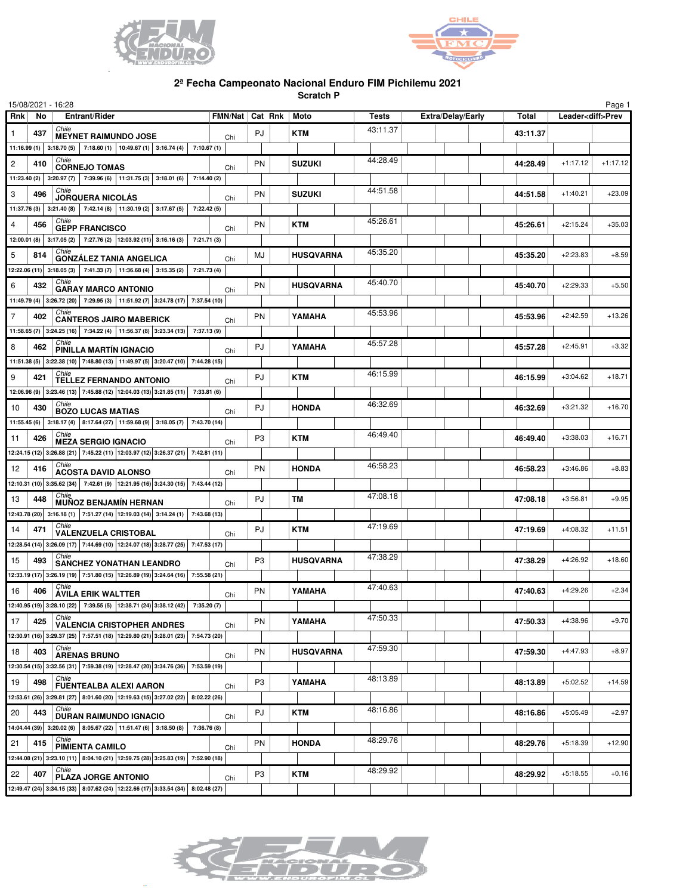



## **2ª Fecha Campeonato Nacional Enduro FIM Pichilemu 2021**

**Scratch P**

|                | 15/08/2021 - 16:28                                                                                                 |                   |                   |                  |          |                   |          |            | Page 1                   |
|----------------|--------------------------------------------------------------------------------------------------------------------|-------------------|-------------------|------------------|----------|-------------------|----------|------------|--------------------------|
| Rnk            | Entrant/Rider<br>No.                                                                                               |                   | FMN/Nat   Cat Rnk | Moto             | Tests    | Extra/Delay/Early | Total    |            | Leader <diff>Prev</diff> |
| 1              | Chile<br>437<br><b>MEYNET RAIMUNDO JOSE</b>                                                                        | Chi               | PJ                | <b>KTM</b>       | 43:11.37 |                   | 43:11.37 |            |                          |
|                | 11:16.99 (1) 3:18.70 (5) 7:18.60 (1) 10:49.67 (1) 3:16.74 (4) 7:10.67 (1)                                          |                   |                   |                  |          |                   |          |            |                          |
| $\overline{c}$ | Chile<br>410<br><b>CORNEJO TOMAS</b>                                                                               | Chi               | PN                | SUZUKI           | 44:28.49 |                   | 44:28.49 | $+1:17.12$ | $+1:17.12$               |
|                | 11:23.40 (2) 3:20.97 (7) 7:39.96 (6) 11:31.75 (3) 3:18.01 (6) 7:14.40 (2)                                          |                   |                   |                  |          |                   |          |            |                          |
| 3              | Chile<br>496<br><b>JORQUERA NICOLÁS</b>                                                                            |                   | PN                | <b>SUZUKI</b>    | 44:51.58 |                   | 44:51.58 | $+1:40.21$ | $+23.09$                 |
|                | 11:37.76 (3) 3:21.40 (8) 7:42.14 (8) 11:30.19 (2) 3:17.67 (5)                                                      | Chi<br>7:22.42(5) |                   |                  |          |                   |          |            |                          |
| 4              | Chile<br>456                                                                                                       |                   | <b>PN</b>         | KTM              | 45:26.61 |                   | 45:26.61 | $+2:15.24$ | $+35.03$                 |
|                | <b>GEPP FRANCISCO</b><br>12:00.01 (8) 3:17.05 (2) 7:27.76 (2) 12:03.92 (11) 3:16.16 (3) 7:21.71 (3)                | Chi               |                   |                  |          |                   |          |            |                          |
| 5              | Chile<br>814                                                                                                       |                   | MJ                | <b>HUSQVARNA</b> | 45:35.20 |                   | 45:35.20 | $+2:23.83$ | $+8.59$                  |
|                | <b>GONZÁLEZ TANIA ANGELICA</b><br>12:22.06 (11) 3:18.05 (3) 7:41.33 (7) 11:36.68 (4) 3:15.35 (2) 7:21.73 (4)       | Chi               |                   |                  |          |                   |          |            |                          |
|                | Chile                                                                                                              |                   |                   |                  | 45:40.70 |                   |          |            |                          |
| 6              | 432<br><b>GARAY MARCO ANTONIO</b>                                                                                  | Chi               | PN                | <b>HUSQVARNA</b> |          |                   | 45:40.70 | $+2:29.33$ | $+5.50$                  |
|                | 11:49.79 (4) 3:26.72 (20) 7:29.95 (3) 11:51.92 (7) 3:24.78 (17) 7:37.54 (10)<br>Chile                              |                   |                   |                  | 45:53.96 |                   |          |            |                          |
| $\overline{7}$ | 402<br><b>CANTEROS JAIRO MABERICK</b>                                                                              | Chi               | PN                | YAMAHA           |          |                   | 45:53.96 | $+2:42.59$ | $+13.26$                 |
|                | 11:58.65 (7) 3:24.25 (16) 7:34.22 (4) 11:56.37 (8) 3:23.34 (13) 7:37.13 (9)                                        |                   |                   |                  |          |                   |          |            |                          |
| 8              | Chile<br>462<br>PINILLA MARTIN IGNACIO                                                                             | Chi               | PJ                | YAMAHA           | 45:57.28 |                   | 45:57.28 | $+2:45.91$ | $+3.32$                  |
|                | 11:51.38 (5) 3:22.38 (10) 7:48.80 (13) 11:49.97 (5) 3:20.47 (10) 7:44.28 (15)                                      |                   |                   |                  |          |                   |          |            |                          |
| 9              | Chile<br>421<br><b>TELLEZ FERNANDO ANTONIO</b>                                                                     | Chi               | PJ                | <b>KTM</b>       | 46:15.99 |                   | 46:15.99 | $+3:04.62$ | $+18.71$                 |
|                | 12:06.96 (9) 3:23.46 (13) 7:45.88 (12) 12:04.03 (13) 3:21.85 (11) 7:33.81 (6)                                      |                   |                   |                  |          |                   |          |            |                          |
| 10             | Chile<br>430<br><b>BOZO LUCAS MATIAS</b>                                                                           | Chi               | PJ                | <b>HONDA</b>     | 46:32.69 |                   | 46:32.69 | $+3:21.32$ | $+16.70$                 |
|                | 11:55.45 (6) 3:18.17 (4) 8:17.64 (27) 11:59.68 (9) 3:18.05 (7) 7:43.70 (14)                                        |                   |                   |                  |          |                   |          |            |                          |
| 11             | 426<br><b>MEZA SERGIO IGNACIO</b>                                                                                  | Chi               | P <sub>3</sub>    | <b>KTM</b>       | 46:49.40 |                   | 46:49.40 | $+3:38.03$ | $+16.71$                 |
|                | 12:24.15 (12) 3:26.88 (21) 7:45.22 (11) 12:03.97 (12) 3:26.37 (21) 7:42.81 (11)                                    |                   |                   |                  |          |                   |          |            |                          |
| 12             | Chile<br>416<br><b>ACOSTA DAVID ALONSO</b>                                                                         | Chi               | <b>PN</b>         | <b>HONDA</b>     | 46:58.23 |                   | 46:58.23 | $+3:46.86$ | $+8.83$                  |
|                | 12:10.31 (10) 3:35.62 (34) 7:42.61 (9) 12:21.95 (16) 3:24.30 (15) 7:43.44 (12)                                     |                   |                   |                  |          |                   |          |            |                          |
| 13             | <i>Chile</i><br>448<br><b>MUÑOZ BENJAMÍN HERNAN</b>                                                                | Chi               | PJ                | <b>TM</b>        | 47:08.18 |                   | 47:08.18 | $+3:56.81$ | $+9.95$                  |
|                | 12:43.78 (20) 3:16.18 (1) 7:51.27 (14) 12:19.03 (14) 3:14.24 (1) 7:43.68 (13)                                      |                   |                   |                  |          |                   |          |            |                          |
| 14             | Chile<br>471                                                                                                       |                   | PJ                | KTM              | 47:19.69 |                   | 47:19.69 | $+4:08.32$ | $+11.51$                 |
|                | VALENZUELA CRISTOBAL<br>12:28.54 (14) 3:26.09 (17) 7:44.69 (10) 12:24.07 (18) 3:28.77 (25) 7:47.53 (17)            | Chi               |                   |                  |          |                   |          |            |                          |
| 15             | 493                                                                                                                |                   | P <sub>3</sub>    | <b>HUSQVARNA</b> | 47:38.29 |                   | 47:38.29 | $+4:26.92$ | $+18.60$                 |
|                | <b>SANCHEZ YONATHAN LEANDRO</b><br>12:33.19 (17) 3:26.19 (19) 7:51.80 (15) 12:26.89 (19) 3:24.64 (16) 7:55.58 (21) | Chi               |                   |                  |          |                   |          |            |                          |
| 16             | Chile<br>406                                                                                                       |                   | PN                | YAMAHA           | 47:40.63 |                   | 47:40.63 | $+4:29.26$ | $+2.34$                  |
|                | <b>ÁVILA ERIK WALTTER</b>                                                                                          | Chi               |                   |                  |          |                   |          |            |                          |
|                | 12:40.95 (19) 3:28.10 (22) 7:39.55 (5) 12:38.71 (24) 3:38.12 (42) 7:35.20 (7)<br>Chile                             |                   |                   |                  | 47:50.33 |                   |          | $+4:38.96$ |                          |
| 17             | 425<br><b>VALENCIA CRISTOPHER ANDRES</b>                                                                           | Chi               | PN                | YAMAHA           |          |                   | 47:50.33 |            | $+9.70$                  |
|                | 12:30.91 (16) 3:29.37 (25) 7:57.51 (18) 12:29.80 (21) 3:28.01 (23) 7:54.73 (20)<br>Chile                           |                   |                   |                  | 47:59.30 |                   |          |            |                          |
| 18             | 403<br><b>ARENAS BRUNO</b>                                                                                         | Chi               | PN                | <b>HUSQVARNA</b> |          |                   | 47:59.30 | $+4:47.93$ | $+8.97$                  |
|                | 12:30.54 (15) 3:32.56 (31) 7:59.38 (19) 12:28.47 (20) 3:34.76 (36) 7:53.59 (19)                                    |                   |                   |                  |          |                   |          |            |                          |
| 19             | Chile<br>498<br><b>FUENTEALBA ALEXI AARON</b>                                                                      | Chi               | P <sub>3</sub>    | YAMAHA           | 48:13.89 |                   | 48:13.89 | $+5:02.52$ | $+14.59$                 |
|                | 12:53.61 (26) 3:29.81 (27) 8:01.60 (20) 12:19.63 (15) 3:27.02 (22) 8:02.22 (26)                                    |                   |                   |                  |          |                   |          |            |                          |
| 20             | Chile<br>443<br><b>DURAN RAIMUNDO IGNACIO</b>                                                                      | Chi               | PJ                | KTM              | 48:16.86 |                   | 48:16.86 | $+5:05.49$ | $+2.97$                  |
|                | 14:04.44 (39) 3:20.02 (6) 8:05.67 (22) 11:51.47 (6) 3:18.50 (8)                                                    | 7:36.76 (8)       |                   |                  |          |                   |          |            |                          |
| 21             | Chile<br>415<br>PIMIENTA CAMILO                                                                                    | Chi               | PN                | <b>HONDA</b>     | 48:29.76 |                   | 48:29.76 | $+5:18.39$ | $+12.90$                 |
|                | 12:44.08 (21) 3:23.10 (11) 8:04.10 (21) 12:59.75 (28) 3:25.83 (19) 7:52.90 (18)                                    |                   |                   |                  |          |                   |          |            |                          |
| 22             | Chile<br>407<br><b>PLAZA JORGE ANTONIO</b>                                                                         | Chi               | P3                | KTM              | 48:29.92 |                   | 48:29.92 | $+5:18.55$ | $+0.16$                  |
|                | 12:49.47 (24) 3:34.15 (33) 8:07.62 (24) 12:22.66 (17) 3:33.54 (34) 8:02.48 (27)                                    |                   |                   |                  |          |                   |          |            |                          |

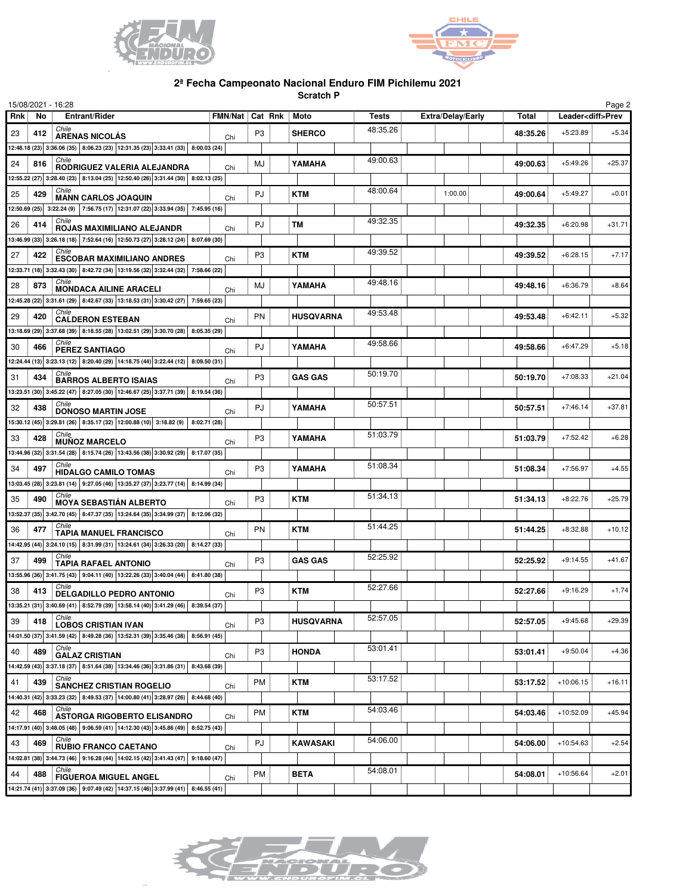



## **2ª Fecha Campeonato Nacional Enduro FIM Pichilemu 2021**

**Scratch P**

|     |     | 15/08/2021 - 16:28                                                                                               |     |                          |                  |          |                          |              |             | Page 2                   |
|-----|-----|------------------------------------------------------------------------------------------------------------------|-----|--------------------------|------------------|----------|--------------------------|--------------|-------------|--------------------------|
| Rnk | No. | Entrant/Rider                                                                                                    |     | FMN/Nat   Cat Rnk   Moto |                  | Tests    | <b>Extra/Delay/Early</b> | <b>Total</b> |             | Leader <diff>Prev</diff> |
| 23  | 412 | Chile<br><b>ARENAS NICOLÁS</b>                                                                                   | Chi | P3                       | <b>SHERCO</b>    | 48:35.26 |                          | 48:35.26     | $+5:23.89$  | $+5.34$                  |
|     |     | 12:48.18 (23) 3:36.06 (35) 8:06.23 (23) 12:31.35 (23) 3:33.41 (33) 8:00.03 (24)                                  |     |                          |                  |          |                          |              |             |                          |
| 24  | 816 | Chile                                                                                                            |     | MJ                       | YAMAHA           | 49:00.63 |                          | 49:00.63     | $+5:49.26$  | $+25.37$                 |
|     |     | RODRIGUEZ VALERIA ALEJANDRA<br>12:55.22 (27) 3:28.40 (23) 8:13.04 (25) 12:50.40 (26) 3:31.44 (30) 8:02.13 (25)   | Chi |                          |                  |          |                          |              |             |                          |
|     | 429 | Chile                                                                                                            |     |                          | <b>KTM</b>       | 48:00.64 | 1:00.00                  |              | $+5:49.27$  | $+0.01$                  |
| 25  |     | <b>MANN CARLOS JOAQUIN</b>                                                                                       | Chi | PJ                       |                  |          |                          | 49:00.64     |             |                          |
|     |     | 12:50.69 (25) 3:22.24 (9) 7:56.75 (17) 12:31.07 (22) 3:33.94 (35) 7:45.95 (16)<br>Chile                          |     |                          |                  |          |                          |              |             |                          |
| 26  | 414 | ROJAS MAXIMILIANO ALEJANDR                                                                                       | Chi | PJ                       | ТM               | 49:32.35 |                          | 49:32.35     | $+6:20.98$  | $+31.71$                 |
|     |     | 13:46.99 (33) 3:26.18 (18) 7:52.64 (16) 12:50.73 (27) 3:28.12 (24) 8:07.69 (30)                                  |     |                          |                  |          |                          |              |             |                          |
| 27  | 422 | <b>ESCOBAR MAXIMILIANO ANDRES</b>                                                                                | Chi | P <sub>3</sub>           | <b>KTM</b>       | 49:39.52 |                          | 49:39.52     | $+6:28.15$  | $+7.17$                  |
|     |     | 12:33.71 (18) 3:32.43 (30) 8:42.72 (34) 13:19.56 (32) 3:32.44 (32) 7:58.66 (22)                                  |     |                          |                  |          |                          |              |             |                          |
| 28  | 873 | Chile<br><b>MONDACA AILINE ARACELI</b>                                                                           | Chi | MJ                       | YAMAHA           | 49:48.16 |                          | 49:48.16     | $+6:36.79$  | $+8.64$                  |
|     |     | 12:45.28 (22) 3:31.61 (29) 8:42.67 (33) 13:18.53 (31) 3:30.42 (27) 7:59.65 (23)                                  |     |                          |                  |          |                          |              |             |                          |
| 29  | 420 | Chile<br><b>CALDERON ESTEBAN</b>                                                                                 |     | PN                       | <b>HUSQVARNA</b> | 49:53.48 |                          | 49:53.48     | $+6:42.11$  | $+5.32$                  |
|     |     | 13:18.69 (29) 3:37.68 (39) 8:18.55 (28) 13:02.51 (29) 3:30.70 (28) 8:05.35 (29)                                  | Chi |                          |                  |          |                          |              |             |                          |
| 30  | 466 | Chile                                                                                                            |     | PJ                       | YAMAHA           | 49:58.66 |                          | 49:58.66     | $+6:47.29$  | $+5.18$                  |
|     |     | <b>PEREZ SANTIAGO</b>                                                                                            | Chi |                          |                  |          |                          |              |             |                          |
|     |     | 12:24.44 (13) 3:23.13 (12) 8:20.40 (29) 14:18.75 (44) 3:22.44 (12) 8:09.50 (31)<br>Chile                         |     |                          |                  | 50:19.70 |                          |              |             |                          |
| 31  | 434 | <b>BARROS ALBERTO ISAIAS</b>                                                                                     | Chi | P <sub>3</sub>           | <b>GAS GAS</b>   |          |                          | 50:19.70     | $+7:08.33$  | $+21.04$                 |
|     |     | 13:23.51 (30) 3:45.22 (47) 8:27.05 (30) 12:46.67 (25) 3:37.71 (39) 8:19.54 (36)                                  |     |                          |                  |          |                          |              |             |                          |
| 32  | 438 | Chile<br><b>DONOSO MARTIN JOSE</b>                                                                               | Chi | PJ                       | YAMAHA           | 50:57.51 |                          | 50:57.51     | $+7:46.14$  | $+37.81$                 |
|     |     | 15:30.12 (45) 3:29.81 (26) 8:35.17 (32) 12:00.88 (10) 3:18.82 (9) 8:02.71 (28)                                   |     |                          |                  |          |                          |              |             |                          |
| 33  | 428 | <b>MUNOZ MARCELO</b>                                                                                             | Chi | P <sub>3</sub>           | YAMAHA           | 51:03.79 |                          | 51:03.79     | $+7:52.42$  | $+6.28$                  |
|     |     | 13:44.96 (32) 3:31.54 (28) 8:15.74 (26) 13:43.56 (38) 3:30.92 (29) 8:17.07 (35)                                  |     |                          |                  |          |                          |              |             |                          |
| 34  | 497 | Chile<br><b>HIDALGO CAMILO TOMAS</b>                                                                             | Chi | P <sub>3</sub>           | YAMAHA           | 51:08.34 |                          | 51:08.34     | $+7:56.97$  | $+4.55$                  |
|     |     | 13:03.45 (28) 3:23.81 (14) 3:27.05 (46) 13:35.27 (37) 3:23.77 (14) 8:14.99 (34)                                  |     |                          |                  |          |                          |              |             |                          |
| 35  | 490 |                                                                                                                  |     | P <sub>3</sub>           | <b>KTM</b>       | 51:34.13 |                          | 51:34.13     | $+8:22.76$  | $+25.79$                 |
|     |     | <b>MOYA SEBASTIÁN ALBERTO</b><br>13:52.37 (35) 3:42.70 (45) 8:47.37 (35) 13:24.64 (35) 3:34.99 (37) 8:12.06 (32) | Chi |                          |                  |          |                          |              |             |                          |
|     |     | Chile                                                                                                            |     |                          |                  | 51:44.25 |                          |              |             |                          |
| 36  | 477 | <b>TAPIA MANUEL FRANCISCO</b>                                                                                    | Chi | <b>PN</b>                | KTM              |          |                          | 51:44.25     | $+8:32.88$  | $+10.12$                 |
|     |     | 14:42.95 (44) 3:24.10 (15) 8:31.99 (31) 13:24.61 (34) 3:26.33 (20) 8:14.27 (33)<br>Chile                         |     |                          |                  | 52:25.92 |                          |              |             |                          |
| 37  | 499 | TAPIA RAFAEL ANTONIO                                                                                             | Chi | P <sub>3</sub>           | <b>GAS GAS</b>   |          |                          | 52:25.92     | $+9:14.55$  | $+41.67$                 |
|     |     | 13:55.96 (36) 3:41.75 (43) 9:04.11 (40) 13:22.26 (33) 3:40.04 (44) 8:41.80 (38)                                  |     |                          |                  |          |                          |              |             |                          |
| 38  | 413 | Chile<br><b>DELGADILLO PEDRO ANTONIO</b>                                                                         | Chi | P <sub>3</sub>           | <b>KTM</b>       | 52:27.66 |                          | 52:27.66     | $+9:16.29$  | $+1.74$                  |
|     |     | 13:35.21 (31) 3:40.69 (41) 8:52.79 (39) 13:58.14 (40) 3:41.29 (46) 8:39.54 (37)                                  |     |                          |                  |          |                          |              |             |                          |
| 39  | 418 | Chile<br><b>LOBOS CRISTIAN IVAN</b>                                                                              | Chi | P <sub>3</sub>           | <b>HUSQVARNA</b> | 52:57.05 |                          | 52:57.05     | $+9:45.68$  | $+29.39$                 |
|     |     | 14:01.50 (37) 3:41.59 (42) 8:49.28 (36) 13:52.31 (39) 3:35.46 (38) 8:56.91 (45)                                  |     |                          |                  |          |                          |              |             |                          |
| 40  | 489 | Chile                                                                                                            |     | P <sub>3</sub>           | <b>HONDA</b>     | 53:01.41 |                          | 53:01.41     | $+9:50.04$  | $+4.36$                  |
|     |     | <b>GALAZ CRISTIAN</b><br>14:42.59 (43) 3:37.18 (37) 8:51.64 (38) 13:34.46 (36) 3:31.86 (31) 8:43.68 (39)         | Chi |                          |                  |          |                          |              |             |                          |
| 41  | 439 | Chile                                                                                                            |     | PM                       | KTM              | 53:17.52 |                          |              | $+10:06.15$ | $+16.11$                 |
|     |     | <b>SANCHEZ CRISTIAN ROGELIO</b>                                                                                  | Chi |                          |                  |          |                          | 53:17.52     |             |                          |
|     |     | 14:40.31 (42) 3:33.23 (32) 8:49.53 (37) 14:00.80 (41) 3:28.97 (26) 8:44.68 (40)<br>Chile                         |     |                          |                  | 54:03.46 |                          |              |             |                          |
| 42  | 468 | <b>ASTORGA RIGOBERTO ELISANDRO</b>                                                                               | Chi | <b>PM</b>                | KTM              |          |                          | 54:03.46     | $+10:52.09$ | $+45.94$                 |
|     |     | 14:17.91 (40) 3:48.05 (48) 9:06.59 (41) 14:12.30 (43) 3:45.86 (49) 8:52.75 (43)                                  |     |                          |                  |          |                          |              |             |                          |
| 43  | 469 | Chile<br><b>RUBIO FRANCO CAETANO</b>                                                                             | Chi | PJ                       | KAWASAKI         | 54:06.00 |                          | 54:06.00     | $+10:54.63$ | $+2.54$                  |
|     |     | 14:02.81 (38) 3:44.73 (46) 9:16.28 (44) 14:02.15 (42) 3:41.43 (47) 9:18.60 (47)                                  |     |                          |                  |          |                          |              |             |                          |
| 44  | 488 | Chile<br><b>FIGUEROA MIGUEL ANGEL</b>                                                                            | Chi | PM                       | <b>BETA</b>      | 54:08.01 |                          | 54:08.01     | $+10:56.64$ | $+2.01$                  |
|     |     | 14:21.74 (41) 3:37.09 (36) 9:07.49 (42) 14:37.15 (46) 3:37.99 (41) 8:46.55 (41)                                  |     |                          |                  |          |                          |              |             |                          |